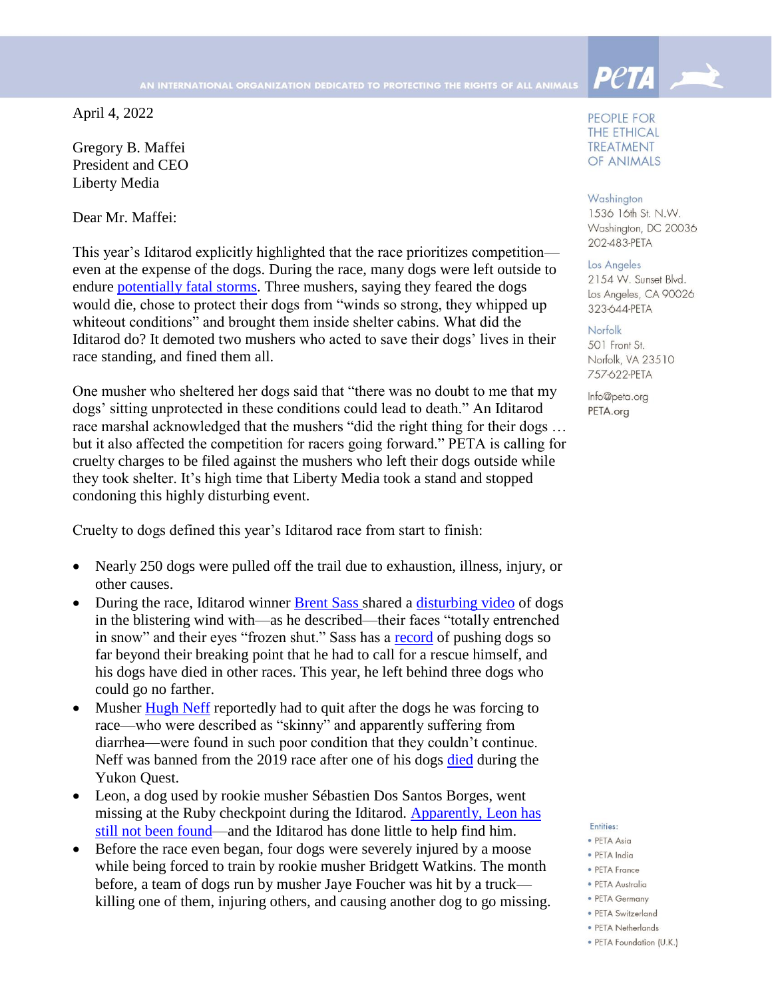April 4, 2022

Gregory B. Maffei President and CEO Liberty Media

Dear Mr. Maffei:

This year's Iditarod explicitly highlighted that the race prioritizes competition even at the expense of the dogs. During the race, many dogs were left outside to endure [potentially fatal storms.](https://apnews.com/article/storms-sports-alaska-dogs-anchorage-9f3791cc0c41cbd24b65167f55080c43) Three mushers, saying they feared the dogs would die, chose to protect their dogs from "winds so strong, they whipped up whiteout conditions" and brought them inside shelter cabins. What did the Iditarod do? It demoted two mushers who acted to save their dogs' lives in their race standing, and fined them all.

One musher who sheltered her dogs said that "there was no doubt to me that my dogs' sitting unprotected in these conditions could lead to death." An Iditarod race marshal acknowledged that the mushers "did the right thing for their dogs … but it also affected the competition for racers going forward." PETA is calling for cruelty charges to be filed against the mushers who left their dogs outside while they took shelter. It's high time that Liberty Media took a stand and stopped condoning this highly disturbing event.

Cruelty to dogs defined this year's Iditarod race from start to finish:

- Nearly 250 dogs were pulled off the trail due to exhaustion, illness, injury, or other causes.
- During the race, Iditarod winner **Brent Sass** shared a [disturbing video](https://www.facebook.com/watch/?v=514774360252584) of dogs in the blistering wind with—as he described—their faces "totally entrenched in snow" and their eyes "frozen shut." Sass has a [record](https://craigmedred.news/2017/02/14/whose-fault-is-it/) of pushing dogs so far beyond their breaking point that he had to call for a rescue himself, and his dogs have died in other races. This year, he left behind three dogs who could go no farther.
- Musher [Hugh Neff](https://www.alaskasnewssource.com/2022/03/14/neff-says-he-was-bullied-forced-scratch-iditarod-race-marshal-disagrees/) reportedly had to quit after the dogs he was forcing to race—who were described as "skinny" and apparently suffering from diarrhea—were found in such poor condition that they couldn't continue. Neff was banned from the 2019 race after one of his dogs [died](https://www.alaskapublic.org/2018/04/24/hugh-neff-banned-from-2019-yukon-quest-due-to-poor-dog-care/) during the Yukon Quest.
- Leon, a dog used by rookie musher Sébastien Dos Santos Borges, went missing at the Ruby checkpoint during the Iditarod. [Apparently, Leon has](https://m.facebook.com/story.php?story_fbid=5233591576693440&id=112545578798091&m_entstream_source=timeline)  [still not been found—](https://m.facebook.com/story.php?story_fbid=5233591576693440&id=112545578798091&m_entstream_source=timeline)and the Iditarod has done little to help find him.
- Before the race even began, four dogs were severely injured by a moose while being forced to train by rookie musher Bridgett Watkins. The month before, a team of dogs run by musher Jaye Foucher was hit by a truck killing one of them, injuring others, and causing another dog to go missing.

PEOPLE FOR **THE ETHICAL TREATMENT** OF ANIMALS

**Peta** 

## Washington

1536 16th St. N.W. Washington, DC 20036 202-483-PETA

## Los Angeles

2154 W. Sunset Blvd. Los Angeles, CA 90026 323-644-PETA

## Norfolk

501 Front St. Norfolk, VA 23510 757-622-PETA

Info@peta.org PETA.org

## Entities:

- · PETA Asia
- · PETA India
- PETA France
- PETA Australia
- PETA Germany
- · PETA Switzerland
- PETA Netherlands
- · PETA Foundation (U.K.)